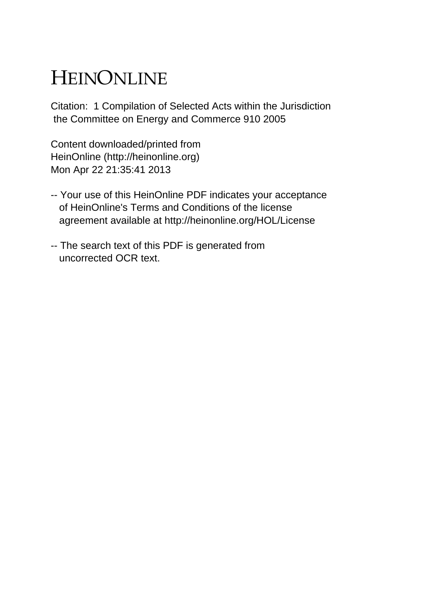# HEINONLINE

Citation: 1 Compilation of Selected Acts within the Jurisdiction the Committee on Energy and Commerce 910 2005

Content downloaded/printed from HeinOnline (http://heinonline.org) Mon Apr 22 21:35:41 2013

- -- Your use of this HeinOnline PDF indicates your acceptance of HeinOnline's Terms and Conditions of the license agreement available at http://heinonline.org/HOL/License
- -- The search text of this PDF is generated from uncorrected OCR text.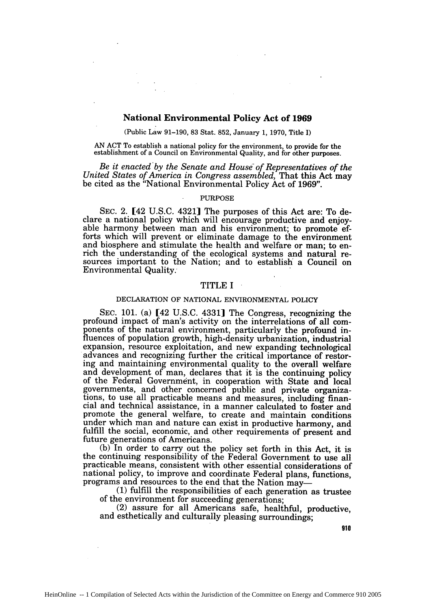# **National Environmental Policy Act of 1969**

(Public Law **91-190, 83** Stat. **852,** January **1, 1970,** Title I)

**AN ACT** To establish a national policy for the environment, to provide for the establishment of a Council on Environmental Quality, and for other purposes.

Be it enacted by the Senate and House of Representatives of the *United States of America in Congress assembled,* That this Act may be cited as the "National Environmental Policy Act of 1969".

#### PURPOSE

SEC. 2. [42 U.S.C. 4321] The purposes of this Act are: To de-<br>clare a national policy which will encourage productive and enjoyable harmony between man and his environment; to promote efforts which will prevent or eliminate damage to the environment and biosphere and stimulate the health and welfare or man; to enrich the understanding of the ecological systems and natural resources important to the Nation; and to establish a Council on Environmental Quality.

## TITLE I

## DECLARATION OF NATIONAL ENVIRONMENTAL POLICY

SEC. **101.** (a) [42 U.S.C. 4331] The Congress, recognizing the profound impact of man's activity on the interrelations of all components of the natural environment, particularly the profound influences of population growth, high-density urbanization, industrial expansion, resource exploitation, and new expanding technological advances and recognizing further the critical importance of restoring and maintaining environmental quality to the overall welfare and development of man, declares that it is the continuing policy of the Federal Government, in cooperation with State and local governments, and other concerned public and private organiza- tions, to use all practicable means and measures, including financial and technical assistance, in a manner calculated to foster and promote the general welfare, to create and maintain conditions under which man and nature can exist in productive harmony, and fulfill the social, economic, and other requirements of present and future generations of Americans.

(b) In order to carry out the policy set forth in this Act, it is the continuing responsibility of the Federal Government to use all practicable means, consistent with other essential considerations of national policy, to improve and coordinate Federal plans, functions, programs and resources to the end that the Nation may-

**(1)** fulfill the responsibilities of each generation as trustee

(2) assure for all Americans safe, healthful, productive, and esthetically and culturally pleasing surroundings;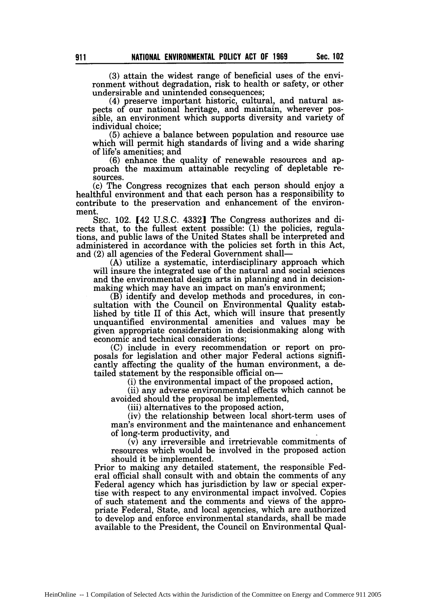(3) attain the widest range of beneficial uses of the environment without degradation, risk to health or safety, or other undersirable and unintended consequences;

(4) preserve important historic, cultural, and natural aspects of our national heritage, and maintain, wherever possible, an environment which supports diversity and variety of individual choice;

(5) achieve a balance between population and resource use which will permit high standards of living and a wide sharing of life's amenities; and

(6) enhance the quality of renewable resources and approach the maximum attainable recycling of depletable resources.

(c) The Congress recognizes that each person should enjoy a healthful environment and that each person has a responsibility to contribute to the preservation and enhancement of the environment.

SEC. 102. [42 U.S.C. 43321 The Congress authorizes and directs that, to the fullest extent possible:  $(1)$  the policies, regulations, and public laws of the United States shall be interpreted and administered in accordance with the policies set forth in this Act, and (2) all agencies of the Federal Government shall-

(A) utilize a systematic, interdisciplinary approach which will insure the integrated use of the natural and social sciences and the environmental design arts in planning and in decisionmaking which may have an impact on man's environment;

(B) identify and develop methods and procedures, in consultation with the Council on Environmental Quality established by title II of this Act, which will insure that presently unquantified environmental amenities and values may be given appropriate consideration in decisionmaking along with economic and technical considerations;

(C) include in every recommendation or report on proposals for legislation and other major Federal actions significantly affecting the quality of the human environment, a detailed statement by the responsible official on-

(i) the environmental impact of the proposed action,

(ii) any adverse environmental effects which cannot be avoided should the proposal be implemented,

(iii) alternatives to the proposed action,

(iv) the relationship between local short-term uses of man's environment and the maintenance and enhancement of long-term productivity, and

(v) any irreversible and irretrievable commitments of resources which would be involved in the proposed action should it be implemented.

Prior to making any detailed statement, the responsible Federal official shall consult with and obtain the comments of any Federal agency which has jurisdiction by law or special expertise with respect to any environmental impact involved. Copies of such statement and the comments and views of the appropriate Federal, State, and local agencies, which are authorized to develop and enforce environmental standards, shall be made available to the President, the Council on Environmental Qual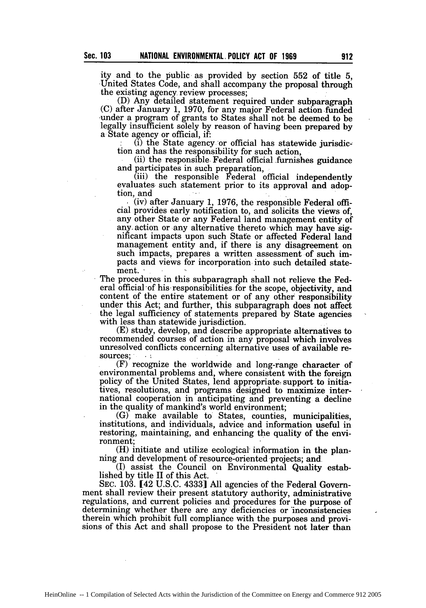ity and to the public as provided by section **552** of title **5,** United States Code, and shall accompany the proposal through the existing agency review processes;

 $(D)$  Any detailed statement required under subparagraph (C) after January 1, 1970, for any major Federal action funded under a program of grants to States shall not be deemed to be legally insufficient solely by reason of having been prepared by a State agency or official, if:

 $(i)$  the State agency or official has statewide jurisdiction and has the responsibility for such action.

(ii) the responsible Federal official furnishes guidance and participates in such preparation,

 $(iii)$  the responsible Federal official independently evaluates such statement prior to its approval and adoption, and

(iv) after January 1, 1976, the responsible Federal official provides early notification to, and solicits the views of, any other State or any Federal land management entity of any, action or any alternative thereto which may have sig- nificant impacts upon such State or affected Federal land management entity and, if there is any disagreement on such impacts, prepares a written assessment of such impacts and views for incorporation into such detailed statement. ·

The procedures in this subparagraph shall not relieve the Federal official of his responsibilities for the scope, objectivity, and content of the entire statement or of any other responsibility under this Act; and further, this subparagraph does not affect the legal sufficiency of statements prepared by State agencies

 $(E)$  study, develop, and describe appropriate alternatives to recommended courses of action in any proposal which involves unresolved conflicts concerning alternative uses of available resources;

(F) recognize the worldwide and long-range character of environmental problems and, where consistent with the foreign policy of the United States, lend appropriate, support to initiatives, resolutions, and programs designed to maximize international cooperation in anticipating and preventing a decline in the quality of mankind's world environment;

(G) make available to States, counties, municipalities, institutions, and individuals, advice and information useful in restoring, maintaining, and enhancing the quality of the environment;

(H) initiate and utilize ecological information in the planning and development of resource-oriented projects; and

(I) assist the Council on Environmental Quality established by title II of this Act.

SEC. 103. [42 U.S.C. 4333] All agencies of the Federal Government shall review their present statutory authority, administrative regulations, and current policies and procedures for the purpose of determining whether there are any deficiencies or 'inconsistencies therein which prohibit full compliance with the purposes and provi- sions of this Act and shall propose to the President not later than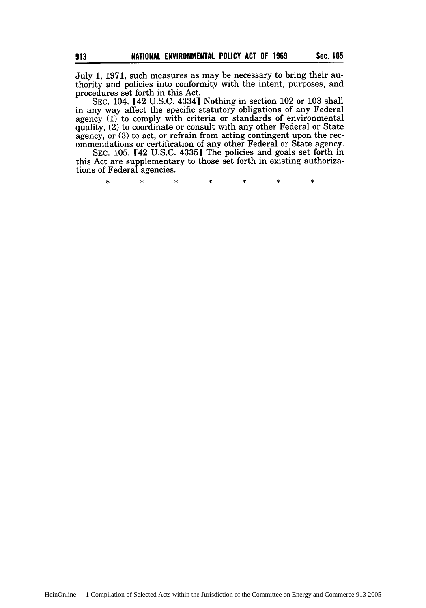July 1, 1971, such measures as may be necessary to bring their authority and policies into conformity with the intent, purposes, and procedures set forth in this Act.

**SEC.** 104. [42 U.S.C. 43341 Nothing in section 102 or 103 shall in any way affect the specific statutory obligations of any Federal agency (1) to comply with criteria or standards of environmental quality, (2) to coordinate or consult with any other Federal or State agency, or (3) to act, or refrain from acting contingent upon the recommendations or certification of any other Federal or State agency.

SEC. 105. [42 U.S.C. 4335] The policies and goals set forth in this Act are supplementary to those set forth in existing authorizations of Federal agencies.

> $\ast$  $\star$  $\ast$  $\ast$  $\star$  $\star$  $\star$